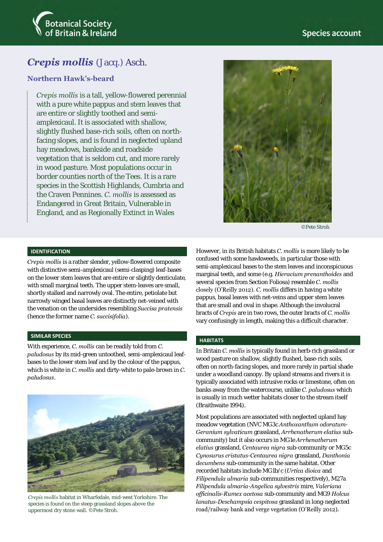

# *Crepis mollis* (Jacq.) Asch.

# **Northern Hawk's-beard**

*Crepis mollis* is a tall, yellow-flowered perennial with a pure white pappus and stem leaves that are entire or slightly toothed and semiamplexicaul. It is associated with shallow, slightly flushed base-rich soils, often on northfacing slopes, and is found in neglected upland hay meadows, bankside and roadside vegetation that is seldom cut, and more rarely in wood pasture. Most populations occur in border counties north of the Tees. It is a rare species in the Scottish Highlands, Cumbria and the Craven Pennines. *C. mollis* is assessed as Endangered in Great Britain, Vulnerable in England, and as Regionally Extinct in Wales



©Pete Stroh

#### **IDENTIFICATION**

*Crepis mollis* is a rather slender, yellow-flowered composite with distinctive semi-amplexicaul (semi-clasping) leaf-bases on the lower stem leaves that are entire or slightly denticulate, with small marginal teeth. The upper stem-leaves are small, shortly stalked and narrowly oval. The entire, petiolate but narrowly winged basal leaves are distinctly net-veined with the venation on the undersides resembling *Succisa pratensis*  (hence the former name *C. succisifolia*).

#### **SIMILAR SPECIES**

With experience, *C. mollis* can be readily told from *C. paludosus* by its mid-green untoothed, semi-amplexicaul leafbases to the lower stem leaf and by the colour of the pappus, which is white in *C. mollis* and dirty-white to pale-brown in *C. paludosus*.



*Crepis mollis* habitat in Wharfedale, mid-west Yorkshire. The species is found on the steep grassland slopes above the uppermost dry stone wall. ©Pete Stroh.

However, in its British habitats *C. mollis* is more likely to be confused with some hawkweeds, in particular those with semi-amplexicaul bases to the stem leaves and inconspicuous marginal teeth, and some (e.g. *Hieracium prenanthoides* and several species from Section Foliosa) resemble *C. mollis* closely (O'Reilly 2012). *C. mollis* differs in having a white pappus, basal leaves with net-veins and upper stem leaves that are small and oval in shape. Although the involucral bracts of *Crepis* are in two rows, the outer bracts of *C. mollis* vary confusingly in length, making this a difficult character.

#### **HABITATS**

In Britain *C. mollis* is typically found in herb-rich grassland or wood pasture on shallow, slightly flushed, base-rich soils, often on north-facing slopes, and more rarely in partial shade under a woodland canopy. By upland streams and rivers it is typically associated with intrusive rocks or limestone, often on banks away from the watercourse, unlike *C. paludosus* which is usually in much wetter habitats closer to the stream itself (Braithwaite 1994).

Most populations are associated with neglected upland hay meadow vegetation (NVC MG3c *Anthoxanthum odoratum*-*Geranium sylvaticum* grassland, *Arrhenatherum elatius* subcommunity) but it also occurs in MG1e *Arrhenatherum elatius* grassland, *Centaurea nigra* sub-community or MG5c *Cynosurus cristatus*-*Centaurea nigra* grassland, *Danthonia decumbens* sub-community in the same habitat. Other recorded habitats include MG1b/c (*Urtica dioica* and *Filipendula ulmaria* sub-communities respectively), M27a *Filipendula ulmaria*-*Angelica sylvestris* mire, *Valeriana officinalis*-*Rumex acetosa* sub-community and MG9 *Holcus lanatus*-*Deschampsia cespitosa* grassland in long-neglected road/railway bank and verge vegetation (O'Reilly 2012).